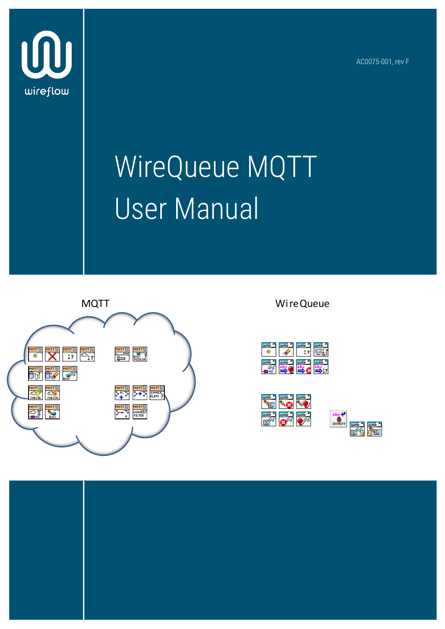AC0075-001, rev F



# WireQueue MQTT User Manual







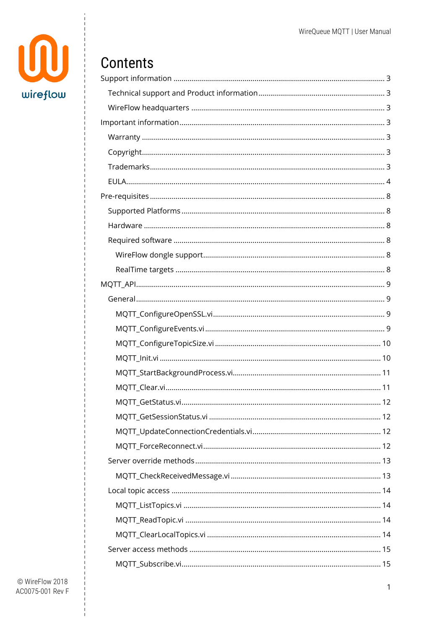

# Contents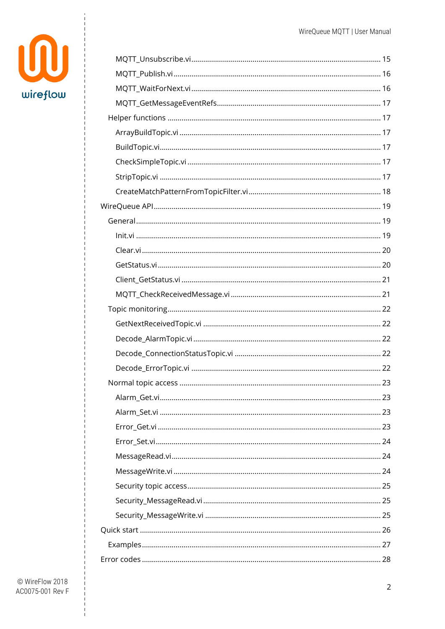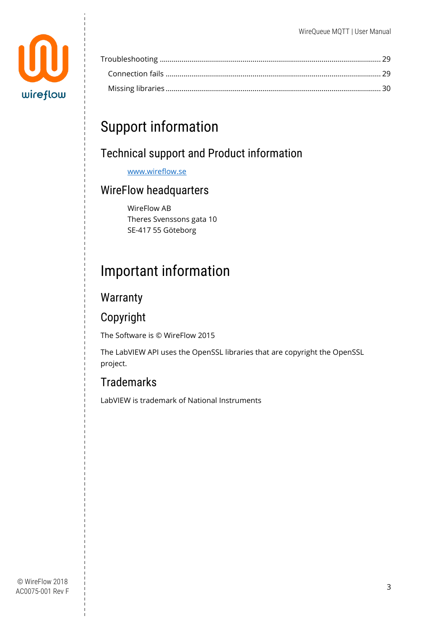

## <span id="page-3-0"></span>Support information

### <span id="page-3-1"></span>Technical support and Product information

[www.wireflow.se](http://www.wireflow.se/)

### <span id="page-3-2"></span>WireFlow headquarters

WireFlow AB Theres Svenssons gata 10 SE-417 55 Göteborg

# <span id="page-3-3"></span>Important information

### <span id="page-3-4"></span>**Warranty**

### <span id="page-3-5"></span>Copyright

The Software is © WireFlow 2015

The LabVIEW API uses the OpenSSL libraries that are copyright the OpenSSL project.

### <span id="page-3-6"></span>**Trademarks**

LabVIEW is trademark of National Instruments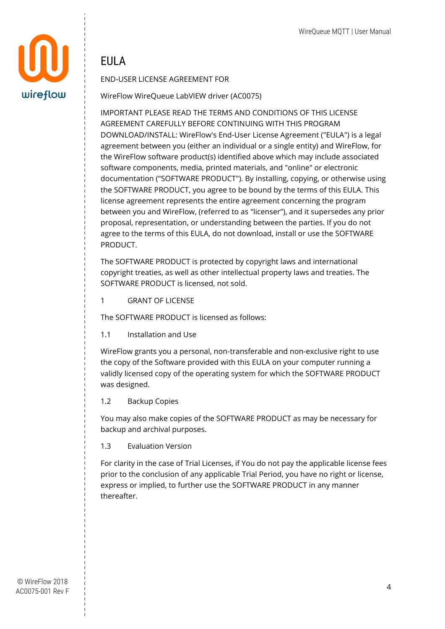

### <span id="page-4-0"></span>**FIIIA**

#### END-USER LICENSE AGREEMENT FOR

WireFlow WireQueue LabVIEW driver (AC0075)

IMPORTANT PLEASE READ THE TERMS AND CONDITIONS OF THIS LICENSE AGREEMENT CAREFULLY BEFORE CONTINUING WITH THIS PROGRAM DOWNLOAD/INSTALL: WireFlow's End-User License Agreement ("EULA") is a legal agreement between you (either an individual or a single entity) and WireFlow, for the WireFlow software product(s) identified above which may include associated software components, media, printed materials, and "online" or electronic documentation ("SOFTWARE PRODUCT"). By installing, copying, or otherwise using the SOFTWARE PRODUCT, you agree to be bound by the terms of this EULA. This license agreement represents the entire agreement concerning the program between you and WireFlow, (referred to as "licenser"), and it supersedes any prior proposal, representation, or understanding between the parties. If you do not agree to the terms of this EULA, do not download, install or use the SOFTWARE PRODUCT.

The SOFTWARE PRODUCT is protected by copyright laws and international copyright treaties, as well as other intellectual property laws and treaties. The SOFTWARE PRODUCT is licensed, not sold.

1 GRANT OF LICENSE

The SOFTWARE PRODUCT is licensed as follows:

1.1 Installation and Use

WireFlow grants you a personal, non-transferable and non-exclusive right to use the copy of the Software provided with this EULA on your computer running a validly licensed copy of the operating system for which the SOFTWARE PRODUCT was designed.

1.2 Backup Copies

You may also make copies of the SOFTWARE PRODUCT as may be necessary for backup and archival purposes.

1.3 Evaluation Version

For clarity in the case of Trial Licenses, if You do not pay the applicable license fees prior to the conclusion of any applicable Trial Period, you have no right or license, express or implied, to further use the SOFTWARE PRODUCT in any manner thereafter.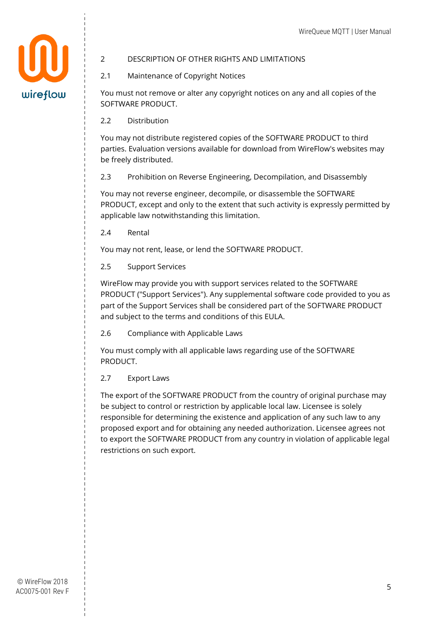

#### 2 DESCRIPTION OF OTHER RIGHTS AND LIMITATIONS

2.1 Maintenance of Copyright Notices

You must not remove or alter any copyright notices on any and all copies of the SOFTWARE PRODUCT.

2.2 Distribution

You may not distribute registered copies of the SOFTWARE PRODUCT to third parties. Evaluation versions available for download from WireFlow's websites may be freely distributed.

2.3 Prohibition on Reverse Engineering, Decompilation, and Disassembly

You may not reverse engineer, decompile, or disassemble the SOFTWARE PRODUCT, except and only to the extent that such activity is expressly permitted by applicable law notwithstanding this limitation.

2.4 Rental

You may not rent, lease, or lend the SOFTWARE PRODUCT.

2.5 Support Services

WireFlow may provide you with support services related to the SOFTWARE PRODUCT ("Support Services"). Any supplemental software code provided to you as part of the Support Services shall be considered part of the SOFTWARE PRODUCT and subject to the terms and conditions of this EULA.

2.6 Compliance with Applicable Laws

You must comply with all applicable laws regarding use of the SOFTWARE PRODUCT.

2.7 Export Laws

The export of the SOFTWARE PRODUCT from the country of original purchase may be subject to control or restriction by applicable local law. Licensee is solely responsible for determining the existence and application of any such law to any proposed export and for obtaining any needed authorization. Licensee agrees not to export the SOFTWARE PRODUCT from any country in violation of applicable legal restrictions on such export.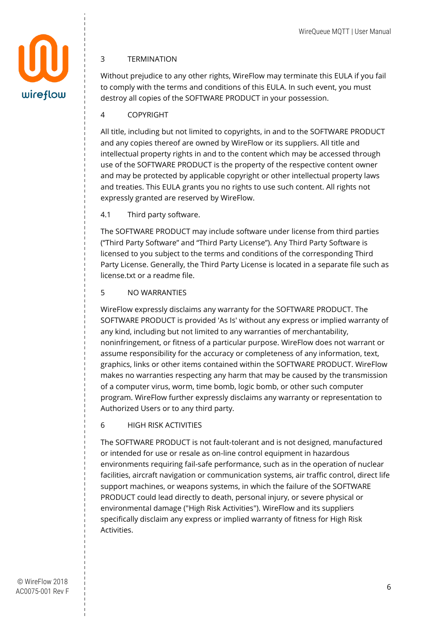

#### 3 TERMINATION

Without prejudice to any other rights, WireFlow may terminate this EULA if you fail to comply with the terms and conditions of this EULA. In such event, you must destroy all copies of the SOFTWARE PRODUCT in your possession.

4 COPYRIGHT

All title, including but not limited to copyrights, in and to the SOFTWARE PRODUCT and any copies thereof are owned by WireFlow or its suppliers. All title and intellectual property rights in and to the content which may be accessed through use of the SOFTWARE PRODUCT is the property of the respective content owner and may be protected by applicable copyright or other intellectual property laws and treaties. This EULA grants you no rights to use such content. All rights not expressly granted are reserved by WireFlow.

4.1 Third party software.

The SOFTWARE PRODUCT may include software under license from third parties ("Third Party Software" and "Third Party License"). Any Third Party Software is licensed to you subject to the terms and conditions of the corresponding Third Party License. Generally, the Third Party License is located in a separate file such as license.txt or a readme file.

5 NO WARRANTIES

WireFlow expressly disclaims any warranty for the SOFTWARE PRODUCT. The SOFTWARE PRODUCT is provided 'As Is' without any express or implied warranty of any kind, including but not limited to any warranties of merchantability, noninfringement, or fitness of a particular purpose. WireFlow does not warrant or assume responsibility for the accuracy or completeness of any information, text, graphics, links or other items contained within the SOFTWARE PRODUCT. WireFlow makes no warranties respecting any harm that may be caused by the transmission of a computer virus, worm, time bomb, logic bomb, or other such computer program. WireFlow further expressly disclaims any warranty or representation to Authorized Users or to any third party.

6 HIGH RISK ACTIVITIES

The SOFTWARE PRODUCT is not fault-tolerant and is not designed, manufactured or intended for use or resale as on-line control equipment in hazardous environments requiring fail-safe performance, such as in the operation of nuclear facilities, aircraft navigation or communication systems, air traffic control, direct life support machines, or weapons systems, in which the failure of the SOFTWARE PRODUCT could lead directly to death, personal injury, or severe physical or environmental damage ("High Risk Activities"). WireFlow and its suppliers specifically disclaim any express or implied warranty of fitness for High Risk Activities.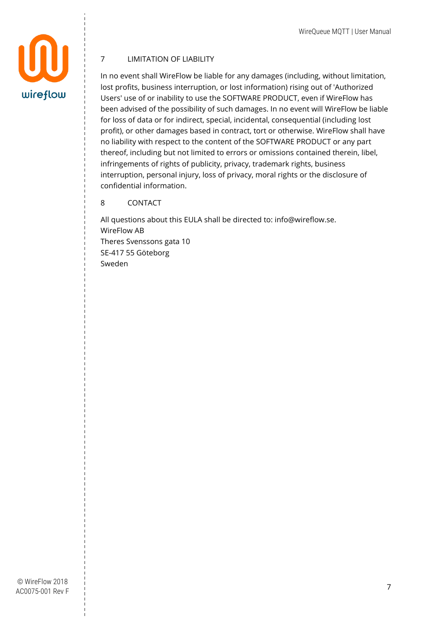

#### 7 LIMITATION OF LIABILITY

In no event shall WireFlow be liable for any damages (including, without limitation, lost profits, business interruption, or lost information) rising out of 'Authorized Users' use of or inability to use the SOFTWARE PRODUCT, even if WireFlow has been advised of the possibility of such damages. In no event will WireFlow be liable for loss of data or for indirect, special, incidental, consequential (including lost profit), or other damages based in contract, tort or otherwise. WireFlow shall have no liability with respect to the content of the SOFTWARE PRODUCT or any part thereof, including but not limited to errors or omissions contained therein, libel, infringements of rights of publicity, privacy, trademark rights, business interruption, personal injury, loss of privacy, moral rights or the disclosure of confidential information.

#### 8 CONTACT

All questions about this EULA shall be directed to: info@wireflow.se. WireFlow AB Theres Svenssons gata 10 SE-417 55 Göteborg Sweden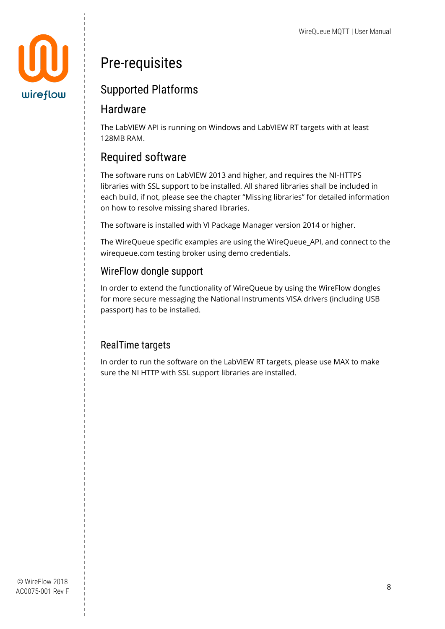

# <span id="page-8-0"></span>Pre-requisites

### <span id="page-8-1"></span>Supported Platforms

### <span id="page-8-2"></span>Hardware

The LabVIEW API is running on Windows and LabVIEW RT targets with at least 128MB RAM.

### <span id="page-8-3"></span>Required software

The software runs on LabVIEW 2013 and higher, and requires the NI-HTTPS libraries with SSL support to be installed. All shared libraries shall be included in each build, if not, please see the chapter "[Missing libraries](#page-30-0)" for detailed information on how to resolve missing shared libraries.

The software is installed with VI Package Manager version 2014 or higher.

The WireQueue specific examples are using the WireQueue\_API, and connect to the wirequeue.com testing broker using demo credentials.

### <span id="page-8-4"></span>WireFlow dongle support

In order to extend the functionality of WireQueue by using the WireFlow dongles for more secure messaging the National Instruments VISA drivers (including USB passport) has to be installed.

### <span id="page-8-5"></span>RealTime targets

In order to run the software on the LabVIEW RT targets, please use MAX to make sure the NI HTTP with SSL support libraries are installed.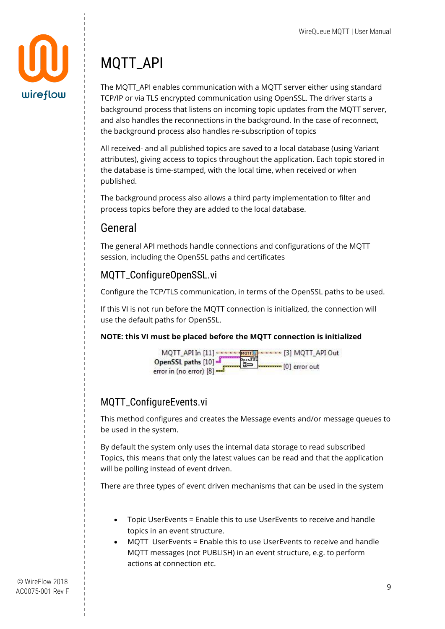

# <span id="page-9-0"></span>MQTT\_API

The MQTT\_API enables communication with a MQTT server either using standard TCP/IP or via TLS encrypted communication using OpenSSL. The driver starts a background process that listens on incoming topic updates from the MQTT server, and also handles the reconnections in the background. In the case of reconnect, the background process also handles re-subscription of topics

All received- and all published topics are saved to a local database (using Variant attributes), giving access to topics throughout the application. Each topic stored in the database is time-stamped, with the local time, when received or when published.

The background process also allows a third party implementation to filter and process topics before they are added to the local database.

### <span id="page-9-1"></span>General

The general API methods handle connections and configurations of the MQTT session, including the OpenSSL paths and certificates

### <span id="page-9-2"></span>MQTT\_ConfigureOpenSSL.vi

Configure the TCP/TLS communication, in terms of the OpenSSL paths to be used.

If this VI is not run before the MQTT connection is initialized, the connection will use the default paths for OpenSSL.

#### **NOTE: this VI must be placed before the MQTT connection is initialized**



### <span id="page-9-3"></span>MQTT\_ConfigureEvents.vi

This method configures and creates the Message events and/or message queues to be used in the system.

By default the system only uses the internal data storage to read subscribed Topics, this means that only the latest values can be read and that the application will be polling instead of event driven.

There are three types of event driven mechanisms that can be used in the system

- Topic UserEvents = Enable this to use UserEvents to receive and handle topics in an event structure.
- MQTT UserEvents = Enable this to use UserEvents to receive and handle MQTT messages (not PUBLISH) in an event structure, e.g. to perform actions at connection etc.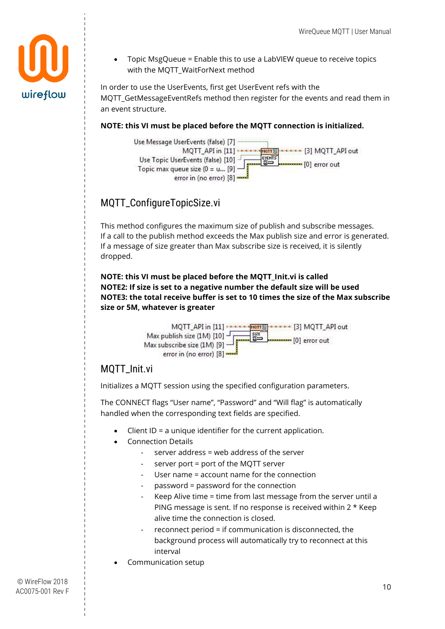• Topic MsgQueue = Enable this to use a LabVIEW queue to receive topics with the MQTT\_WaitForNext method

In order to use the UserEvents, first get UserEvent refs with the MOTT\_GetMessageEventRefs method then register for the events and read them in an event structure.

#### **NOTE: this VI must be placed before the MQTT connection is initialized.**



### <span id="page-10-0"></span>MQTT\_ConfigureTopicSize.vi

This method configures the maximum size of publish and subscribe messages. If a call to the publish method exceeds the Max publish size and error is generated. If a message of size greater than Max subscribe size is received, it is silently dropped.

**NOTE: this VI must be placed before the MQTT\_Init.vi is called NOTE2: If size is set to a negative number the default size will be used NOTE3: the total receive buffer is set to 10 times the size of the Max subscribe size or 5M, whatever is greater**



### <span id="page-10-1"></span>MQTT\_Init.vi

Initializes a MQTT session using the specified configuration parameters.

The CONNECT flags "User name", "Password" and "Will flag" is automatically handled when the corresponding text fields are specified.

- Client ID = a unique identifier for the current application.
- Connection Details
	- server address = web address of the server
	- server port = port of the MQTT server
	- User name = account name for the connection
	- password = password for the connection
	- Keep Alive time = time from last message from the server until a PING message is sent. If no response is received within 2 \* Keep alive time the connection is closed.
	- $reconnect$  period = if communication is disconnected, the background process will automatically try to reconnect at this interval
- Communication setup

wireflow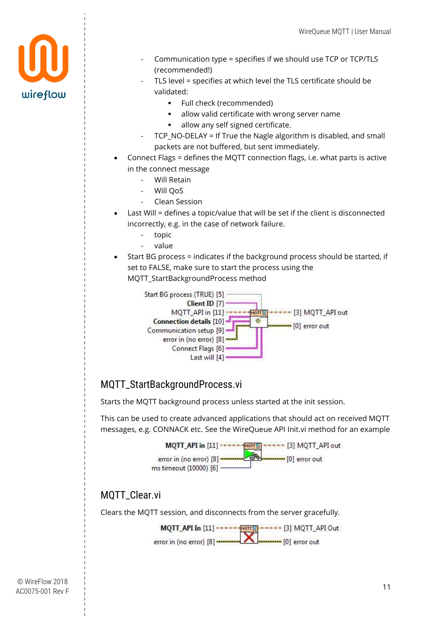

- Communication type = specifies if we should use TCP or TCP/TLS (recommended!)
- TLS level = specifies at which level the TLS certificate should be validated:
	- Full check (recommended)
	- allow valid certificate with wrong server name
	- allow any self signed certificate.
- TCP\_NO-DELAY = If True the Nagle algorithm is disabled, and small packets are not buffered, but sent immediately.
- Connect Flags = defines the MQTT connection flags, i.e. what parts is active in the connect message
	- Will Retain
	- Will QoS
	- Clean Session
- Last Will = defines a topic/value that will be set if the client is disconnected incorrectly, e.g. in the case of network failure.
	- topic
	- value
- Start BG process = indicates if the background process should be started, if set to FALSE, make sure to start the process using the MQTT\_StartBackgroundProcess method



### <span id="page-11-0"></span>MQTT\_StartBackgroundProcess.vi

Starts the MQTT background process unless started at the init session.

This can be used to create advanced applications that should act on received MQTT messages, e.g. CONNACK etc. See the WireQueue API [Init.vi](#page-19-2) method for an example



### <span id="page-11-1"></span>MQTT\_Clear.vi

Clears the MQTT session, and disconnects from the server gracefully.

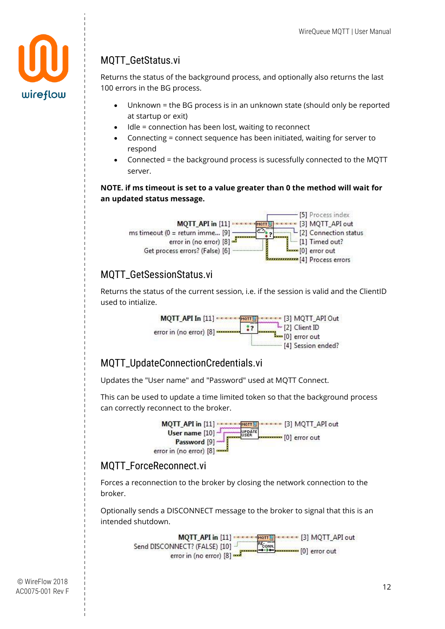

### <span id="page-12-0"></span>MQTT\_GetStatus.vi

Returns the status of the background process, and optionally also returns the last 100 errors in the BG process.

- Unknown = the BG process is in an unknown state (should only be reported at startup or exit)
- Idle = connection has been lost, waiting to reconnect
- Connecting = connect sequence has been initiated, waiting for server to respond
- Connected = the background process is sucessfully connected to the MQTT server.

#### **NOTE. if ms timeout is set to a value greater than 0 the method will wait for an updated status message.**



### <span id="page-12-1"></span>MQTT\_GetSessionStatus.vi

Returns the status of the current session, i.e. if the session is valid and the ClientID used to intialize.



### <span id="page-12-2"></span>MQTT\_UpdateConnectionCredentials.vi

Updates the "User name" and "Password" used at MQTT Connect.

This can be used to update a time limited token so that the background process can correctly reconnect to the broker.



### <span id="page-12-3"></span>MQTT\_ForceReconnect.vi

Forces a reconnection to the broker by closing the network connection to the broker.

Optionally sends a DISCONNECT message to the broker to signal that this is an intended shutdown.

> MQTT\_API in [11] : CELE SMOTT CELECE [3] MQTT\_API out Send DISCONNECT? (FALSE) [10] RE-ONN. [0] error out error in (no error) [8]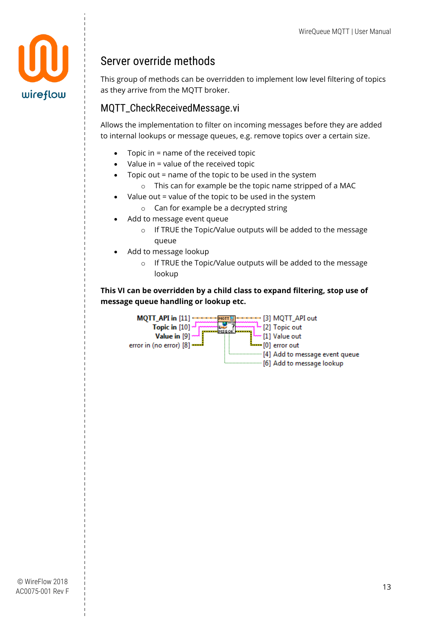

### <span id="page-13-0"></span>Server override methods

This group of methods can be overridden to implement low level filtering of topics as they arrive from the MQTT broker.

### <span id="page-13-1"></span>MQTT\_CheckReceivedMessage.vi

Allows the implementation to filter on incoming messages before they are added to internal lookups or message queues, e.g. remove topics over a certain size.

- $\bullet$  Topic in = name of the received topic
- $\bullet$  Value in = value of the received topic
- Topic out = name of the topic to be used in the system
	- o This can for example be the topic name stripped of a MAC
- Value out = value of the topic to be used in the system
	- o Can for example be a decrypted string
- Add to message event queue
	- o If TRUE the Topic/Value outputs will be added to the message queue
- Add to message lookup
	- o If TRUE the Topic/Value outputs will be added to the message lookup

#### **This VI can be overridden by a child class to expand filtering, stop use of message queue handling or lookup etc.**

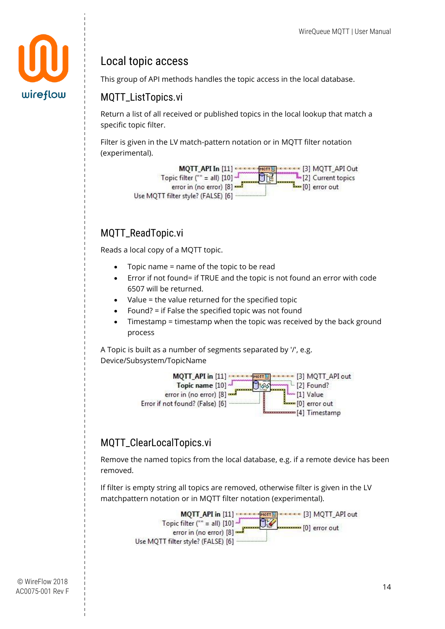

### <span id="page-14-0"></span>Local topic access

This group of API methods handles the topic access in the local database.

#### <span id="page-14-1"></span>MQTT\_ListTopics.vi

Return a list of all received or published topics in the local lookup that match a specific topic filter.

Filter is given in the LV match-pattern notation or in MQTT filter notation (experimental).



### <span id="page-14-2"></span>MOTT\_ReadTopic.vi

Reads a local copy of a MQTT topic.

- Topic name = name of the topic to be read
- Error if not found= if TRUE and the topic is not found an error with code 6507 will be returned.
- Value = the value returned for the specified topic
- Found? = if False the specified topic was not found
- Timestamp = timestamp when the topic was received by the back ground process

A Topic is built as a number of segments separated by '/', e.g. Device/Subsystem/TopicName



### <span id="page-14-3"></span>MQTT\_ClearLocalTopics.vi

Remove the named topics from the local database, e.g. if a remote device has been removed.

If filter is empty string all topics are removed, otherwise filter is given in the LV matchpattern notation or in MQTT filter notation (experimental).

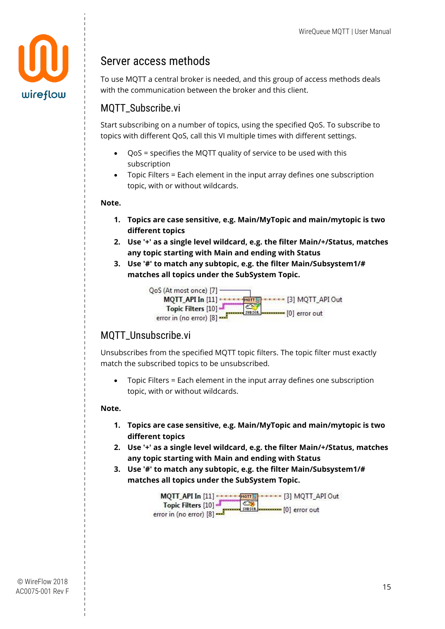

### <span id="page-15-0"></span>Server access methods

To use MQTT a central broker is needed, and this group of access methods deals with the communication between the broker and this client.

### <span id="page-15-1"></span>MOTT\_Subscribe.vi

Start subscribing on a number of topics, using the specified QoS. To subscribe to topics with different QoS, call this VI multiple times with different settings.

- QoS = specifies the MQTT quality of service to be used with this subscription
- Topic Filters = Each element in the input array defines one subscription topic, with or without wildcards.

#### **Note.**

- **1. Topics are case sensitive, e.g. Main/MyTopic and main/mytopic is two different topics**
- **2. Use '+' as a single level wildcard, e.g. the filter Main/+/Status, matches any topic starting with Main and ending with Status**
- **3. Use '#' to match any subtopic, e.g. the filter Main/Subsystem1/# matches all topics under the SubSystem Topic.**



#### <span id="page-15-2"></span>MQTT\_Unsubscribe.vi

Unsubscribes from the specified MQTT topic filters. The topic filter must exactly match the subscribed topics to be unsubscribed.

• Topic Filters = Each element in the input array defines one subscription topic, with or without wildcards.

#### **Note.**

- **1. Topics are case sensitive, e.g. Main/MyTopic and main/mytopic is two different topics**
- **2. Use '+' as a single level wildcard, e.g. the filter Main/+/Status, matches any topic starting with Main and ending with Status**
- **3. Use '#' to match any subtopic, e.g. the filter Main/Subsystem1/# matches all topics under the SubSystem Topic.**

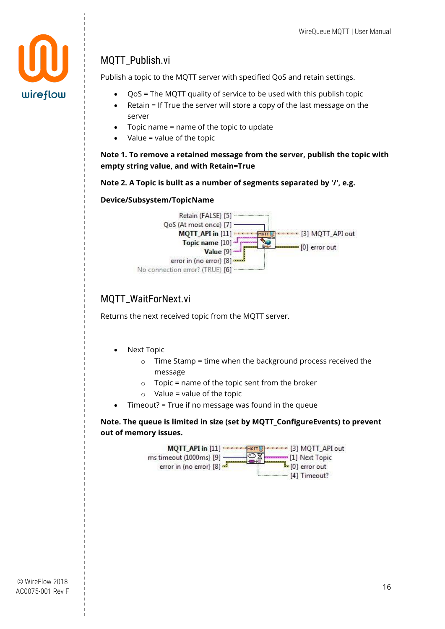

### <span id="page-16-0"></span>MQTT\_Publish.vi

Publish a topic to the MQTT server with specified QoS and retain settings.

- QoS = The MQTT quality of service to be used with this publish topic
- Retain = If True the server will store a copy of the last message on the server
- $\bullet$  Topic name = name of the topic to update
- Value = value of the topic

**Note 1. To remove a retained message from the server, publish the topic with empty string value, and with Retain=True**

#### **Note 2. A Topic is built as a number of segments separated by '/', e.g.**

#### **Device/Subsystem/TopicName**



### <span id="page-16-1"></span>MOTT\_WaitForNext.vi

Returns the next received topic from the MQTT server.

- Next Topic
	- $\circ$  Time Stamp = time when the background process received the message
	- $\circ$  Topic = name of the topic sent from the broker
	- $\circ$  Value = value of the topic
- Timeout? = True if no message was found in the queue

**Note. The queue is limited in size (set by MQTT\_ConfigureEvents) to prevent out of memory issues.**

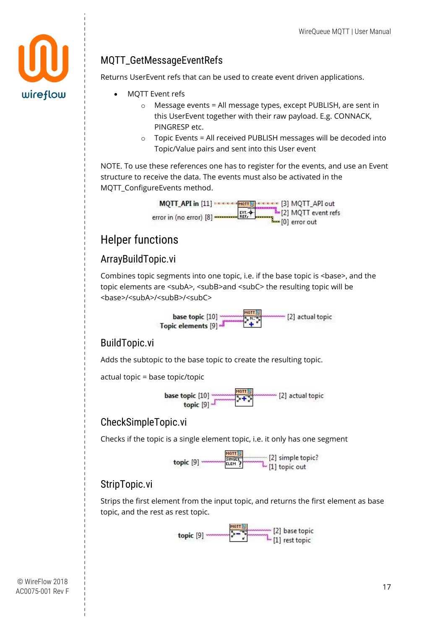### <span id="page-17-0"></span>MQTT\_GetMessageEventRefs

Returns UserEvent refs that can be used to create event driven applications.

- MQTT Event refs
	- o Message events = All message types, except PUBLISH, are sent in this UserEvent together with their raw payload. E.g. CONNACK, PINGRESP etc.
	- o Topic Events = All received PUBLISH messages will be decoded into Topic/Value pairs and sent into this User event

NOTE. To use these references one has to register for the events, and use an Event structure to receive the data. The events must also be activated in the MQTT\_ConfigureEvents method.



### <span id="page-17-1"></span>Helper functions

### <span id="page-17-2"></span>ArrayBuildTopic.vi

Combines topic segments into one topic, i.e. if the base topic is <br/>base>, and the topic elements are <subA>, <subB>and <subC> the resulting topic will be <base>/<subA>/<subB>/<subC>



#### <span id="page-17-3"></span>BuildTopic.vi

Adds the subtopic to the base topic to create the resulting topic.

actual topic = base topic/topic

base topic  $[10]$ ~ [2] actual topic

### <span id="page-17-4"></span>CheckSimpleTopic.vi

Checks if the topic is a single element topic, i.e. it only has one segment



### <span id="page-17-5"></span>StripTopic.vi

Strips the first element from the input topic, and returns the first element as base topic, and the rest as rest topic.



wireflow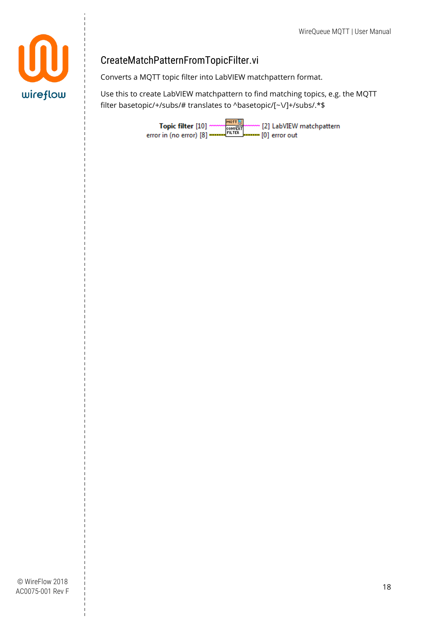

### <span id="page-18-0"></span>CreateMatchPatternFromTopicFilter.vi

Converts a MQTT topic filter into LabVIEW matchpattern format.

Use this to create LabVIEW matchpattern to find matching topics, e.g. the MQTT filter basetopic/+/subs/# translates to ^basetopic/[~\/]+/subs/.\*\$

> MQTT **.** Topic filter [10] -~ [2] LabVIEW matchpattern CONVERT error in (no error)  $[8]$   $-$ = [0] error out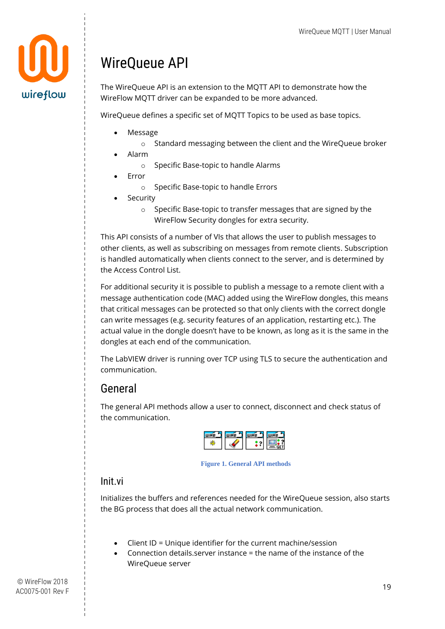

# <span id="page-19-0"></span>WireQueue API

The WireQueue API is an extension to the MQTT API to demonstrate how the WireFlow MQTT driver can be expanded to be more advanced.

WireQueue defines a specific set of MQTT Topics to be used as base topics.

- Message
	- o Standard messaging between the client and the WireQueue broker
- Alarm
	- o Specific Base-topic to handle Alarms
- Error
	- o Specific Base-topic to handle Errors
- **Security** 
	- o Specific Base-topic to transfer messages that are signed by the WireFlow Security dongles for extra security.

This API consists of a number of VIs that allows the user to publish messages to other clients, as well as subscribing on messages from remote clients. Subscription is handled automatically when clients connect to the server, and is determined by the Access Control List.

For additional security it is possible to publish a message to a remote client with a message authentication code (MAC) added using the WireFlow dongles, this means that critical messages can be protected so that only clients with the correct dongle can write messages (e.g. security features of an application, restarting etc.). The actual value in the dongle doesn't have to be known, as long as it is the same in the dongles at each end of the communication.

The LabVIEW driver is running over TCP using TLS to secure the authentication and communication.

### <span id="page-19-1"></span>General

The general API methods allow a user to connect, disconnect and check status of the communication.



**Figure 1. General API methods**

#### <span id="page-19-2"></span>Init.vi

Initializes the buffers and references needed for the WireQueue session, also starts the BG process that does all the actual network communication.

- Client ID = Unique identifier for the current machine/session
- Connection details.server instance = the name of the instance of the WireQueue server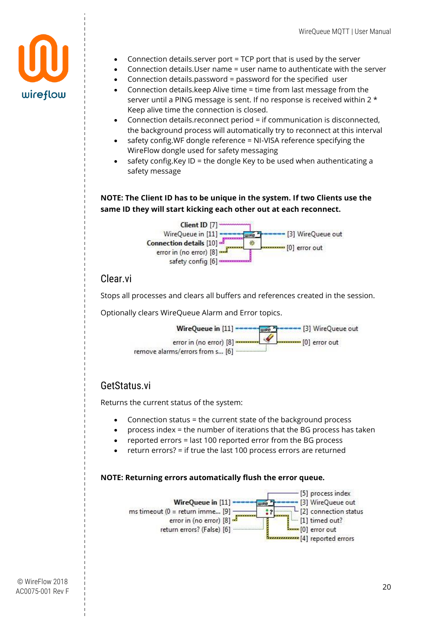

- Connection details.server port = TCP port that is used by the server
- Connection details.User name = user name to authenticate with the server
- Connection details.password = password for the specified user
- Connection details.keep Alive time = time from last message from the server until a PING message is sent. If no response is received within 2 \* Keep alive time the connection is closed.
- Connection details.reconnect period = if communication is disconnected, the background process will automatically try to reconnect at this interval
- safety config.WF dongle reference = NI-VISA reference specifying the WireFlow dongle used for safety messaging
- safety config. Key ID = the dongle Key to be used when authenticating a safety message

#### **NOTE: The Client ID has to be unique in the system. If two Clients use the same ID they will start kicking each other out at each reconnect.**



### <span id="page-20-0"></span>Clear.vi

Stops all processes and clears all buffers and references created in the session.

Optionally clears WireQueue Alarm and Error topics.



#### <span id="page-20-1"></span>GetStatus.vi

Returns the current status of the system:

- Connection status = the current state of the background process
- process index = the number of iterations that the BG process has taken
- reported errors = last 100 reported error from the BG process
- return errors? = if true the last 100 process errors are returned

#### **NOTE: Returning errors automatically flush the error queue.**

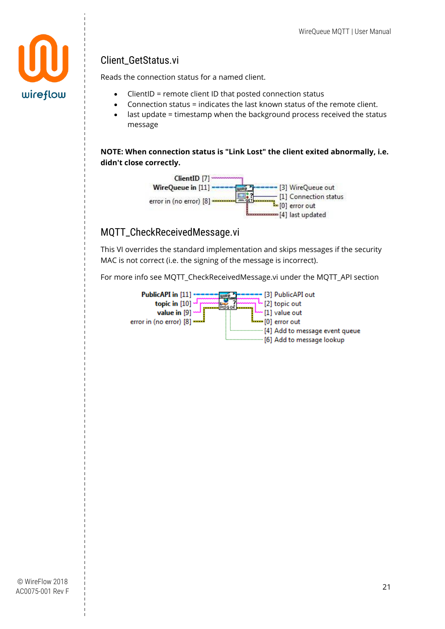

### <span id="page-21-0"></span>Client\_GetStatus.vi

Reads the connection status for a named client.

- ClientID = remote client ID that posted connection status
- Connection status = indicates the last known status of the remote client.
- last update = timestamp when the background process received the status message

**NOTE: When connection status is "Link Lost" the client exited abnormally, i.e. didn't close correctly.**



### <span id="page-21-1"></span>MQTT\_CheckReceivedMessage.vi

This VI overrides the standard implementation and skips messages if the security MAC is not correct (i.e. the signing of the message is incorrect).

For more info see [MQTT\\_CheckReceivedMessage.vi](#page-13-1) under the MQTT\_API section

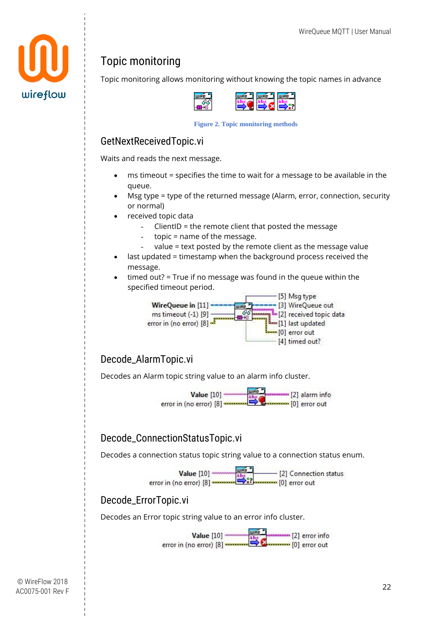

### <span id="page-22-0"></span>Topic monitoring

Topic monitoring allows monitoring without knowing the topic names in advance

|   | <b>SEA LURE J</b> | <b>Aliyyet</b> |
|---|-------------------|----------------|
| I | <b>CONTRACTOR</b> |                |
|   |                   |                |

**Figure 2. Topic monitoring methods**

### <span id="page-22-1"></span>GetNextReceivedTopic.vi

Waits and reads the next message.

- ms timeout = specifies the time to wait for a message to be available in the queue.
- Msg type = type of the returned message (Alarm, error, connection, security or normal)
- received topic data
	- $C$ lientID = the remote client that posted the message
	- $topic = name of the message.$
	- value = text posted by the remote client as the message value
- last updated = timestamp when the background process received the message.
- timed out? = True if no message was found in the queue within the specified timeout period.



### <span id="page-22-2"></span>Decode\_AlarmTopic.vi

Decodes an Alarm topic string value to an alarm info cluster.



### <span id="page-22-3"></span>Decode\_ConnectionStatusTopic.vi

Decodes a connection status topic string value to a connection status enum.



#### <span id="page-22-4"></span>Decode\_ErrorTopic.vi

Decodes an Error topic string value to an error info cluster.

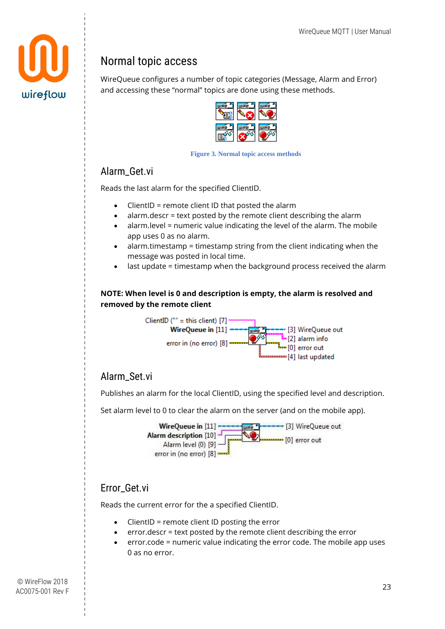

### <span id="page-23-0"></span>Normal topic access

WireQueue configures a number of topic categories (Message, Alarm and Error) and accessing these "normal" topics are done using these methods.

| ⋍ | --<br>Е<br>− |
|---|--------------|
|   | ā<br>шı      |

**Figure 3. Normal topic access methods**

### <span id="page-23-1"></span>Alarm\_Get.vi

Reads the last alarm for the specified ClientID.

- ClientID = remote client ID that posted the alarm
- alarm.descr = text posted by the remote client describing the alarm
- alarm.level = numeric value indicating the level of the alarm. The mobile app uses 0 as no alarm.
- alarm.timestamp = timestamp string from the client indicating when the message was posted in local time.
- last update = timestamp when the background process received the alarm

#### **NOTE: When level is 0 and description is empty, the alarm is resolved and removed by the remote client**



### <span id="page-23-2"></span>Alarm\_Set.vi

Publishes an alarm for the local ClientID, using the specified level and description.

Set alarm level to 0 to clear the alarm on the server (and on the mobile app).



### <span id="page-23-3"></span>Error\_Get.vi

Reads the current error for the a specified ClientID.

- ClientID = remote client ID posting the error
- error.descr = text posted by the remote client describing the error
- error.code = numeric value indicating the error code. The mobile app uses 0 as no error.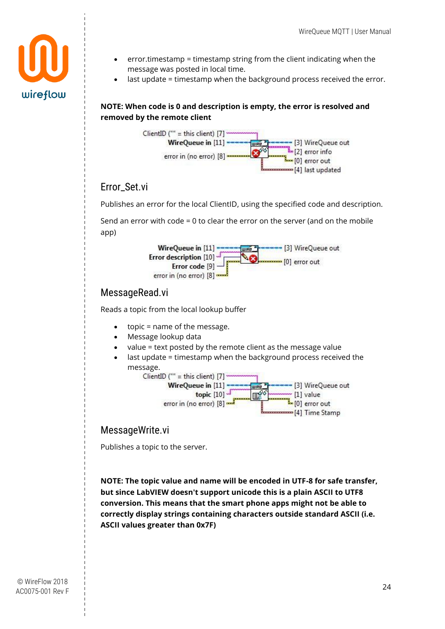

- error.timestamp = timestamp string from the client indicating when the message was posted in local time.
- last update = timestamp when the background process received the error.

#### **NOTE: When code is 0 and description is empty, the error is resolved and removed by the remote client**



### <span id="page-24-0"></span>Error\_Set.vi

Publishes an error for the local ClientID, using the specified code and description.

Send an error with code = 0 to clear the error on the server (and on the mobile app)



#### <span id="page-24-1"></span>MessageRead.vi

Reads a topic from the local lookup buffer

- topic = name of the message.
- Message lookup data
- value = text posted by the remote client as the message value
- last update = timestamp when the background process received the



#### <span id="page-24-2"></span>MessageWrite.vi

Publishes a topic to the server.

**NOTE: The topic value and name will be encoded in UTF-8 for safe transfer, but since LabVIEW doesn't support unicode this is a plain ASCII to UTF8 conversion. This means that the smart phone apps might not be able to correctly display strings containing characters outside standard ASCII (i.e. ASCII values greater than 0x7F)**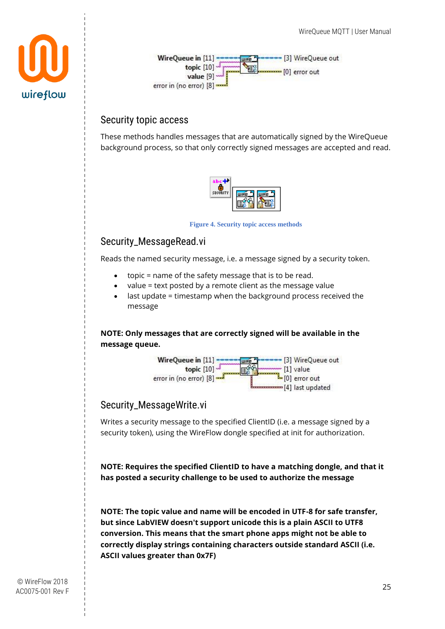



### <span id="page-25-0"></span>Security topic access

These methods handles messages that are automatically signed by the WireQueue background process, so that only correctly signed messages are accepted and read.



**Figure 4. Security topic access methods**

### <span id="page-25-1"></span>Security\_MessageRead.vi

Reads the named security message, i.e. a message signed by a security token.

- topic = name of the safety message that is to be read.
- value = text posted by a remote client as the message value
- last update = timestamp when the background process received the message

**NOTE: Only messages that are correctly signed will be available in the message queue.**



### <span id="page-25-2"></span>Security\_MessageWrite.vi

Writes a security message to the specified ClientID (i.e. a message signed by a security token), using the WireFlow dongle specified at init for authorization.

**NOTE: Requires the specified ClientID to have a matching dongle, and that it has posted a security challenge to be used to authorize the message**

**NOTE: The topic value and name will be encoded in UTF-8 for safe transfer, but since LabVIEW doesn't support unicode this is a plain ASCII to UTF8 conversion. This means that the smart phone apps might not be able to correctly display strings containing characters outside standard ASCII (i.e. ASCII values greater than 0x7F)**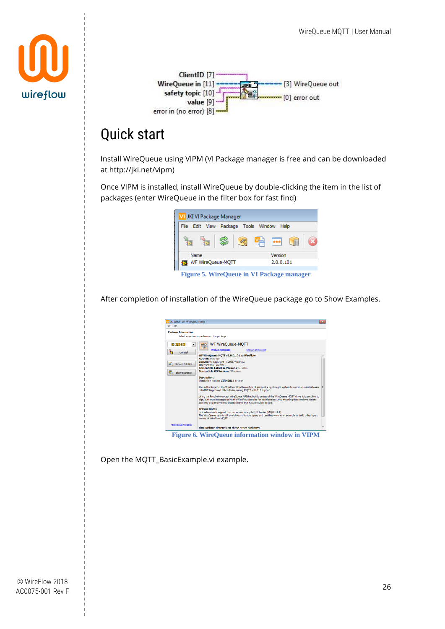



# <span id="page-26-0"></span>Quick start

Install WireQueue using VIPM (VI Package manager is free and can be downloaded at http://jki.net/vipm)

Once VIPM is installed, install WireQueue by double-clicking the item in the list of packages (enter WireQueue in the filter box for fast find)



After completion of installation of the WireQueue package go to Show Examples.

| VI JKI VIPM - WF WireOueue-MOTT   |                                                                                                                                                                                                                                                                                                                                                                    |  |
|-----------------------------------|--------------------------------------------------------------------------------------------------------------------------------------------------------------------------------------------------------------------------------------------------------------------------------------------------------------------------------------------------------------------|--|
| File Help                         |                                                                                                                                                                                                                                                                                                                                                                    |  |
| <b>Package Information</b>        | Select an action to perform on the package.                                                                                                                                                                                                                                                                                                                        |  |
| <b>每2016</b><br>Uninstall         | <b>WF WireQueue-MOTT</b><br>$\frac{1}{2}$<br><b>M011</b><br>Product Homepage<br><b>License Agreement</b>                                                                                                                                                                                                                                                           |  |
| Show in Palettes<br>Show Examples | WF WireOueue-MOTT v2.0.0.101 by WireFlow<br><b>Author: WireFlow</b><br>Copyright: Copyright (c) 2018, WireFlow<br><b>License: WireFlow SW</b><br>Compatible LabVIEW Versions: > = 2013.<br><b>Compatible OS Versions: Windows.</b>                                                                                                                                 |  |
|                                   | <b>Description:</b><br>Installation requires VIPM2014 or later.<br>This is the driver for the WireFlow WireQueue MQTT product, a lightweight system to communicate between                                                                                                                                                                                         |  |
|                                   | LabVIEW targets and other devices using MQTT with TLS support.<br>Using the Proof-of-concept WireOueue API that builds on top of the WireOueue MOTT driver it is possible to<br>sign/authorize messages using the WireFlow dongles for additional security, meaning that sensitive actions<br>can only be performed by trusted clients that has a security dongle. |  |
|                                   | <b>Release Notes:</b><br>First release with support for connection to any MOTT broker (MOTT 3.1.1).<br>The WireOueue laver is still available and is now open, and can thus work as an example to build other lavers<br>on top of WireFlow MOTT.                                                                                                                   |  |
| *Browse All Versions              | This Package depends on these other packages:                                                                                                                                                                                                                                                                                                                      |  |

**Figure 6. WireQueue information window in VIPM**

Open the MQTT\_BasicExample.vi example.

© WireFlow 2018 AC0075-001 Rev F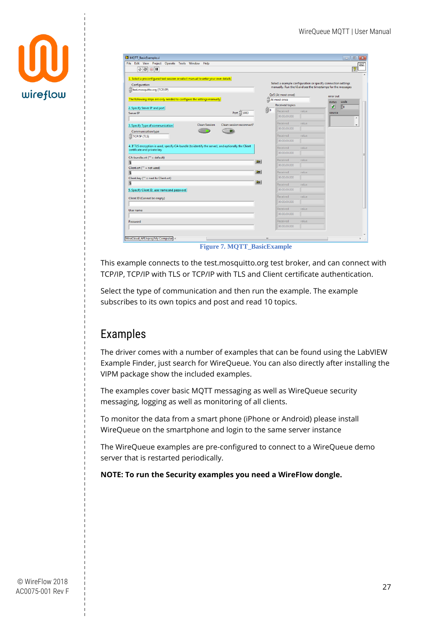

| $\Diamond \otimes \Box$                                                                                                                                                                                                                                                                                                                                                                                |                  |                                                                                                                                                     |       |               |           | MOTT<br>BASIC<br>ೌ       |
|--------------------------------------------------------------------------------------------------------------------------------------------------------------------------------------------------------------------------------------------------------------------------------------------------------------------------------------------------------------------------------------------------------|------------------|-----------------------------------------------------------------------------------------------------------------------------------------------------|-------|---------------|-----------|--------------------------|
| 1. Select a preconfigured test session or select manual to enter your own details<br>Configuration<br>test.mosquitto.org (TCP/IP)                                                                                                                                                                                                                                                                      |                  | Select a example configuration or specify connection settings<br>manually. Run the VI and see the timestamps for the messages<br>QoS (At most once) |       | error out     |           |                          |
| The following steps are only needed to configure the settings manually                                                                                                                                                                                                                                                                                                                                 |                  | At most once                                                                                                                                        |       | status        | code      |                          |
| 2. Specify Server IP and port                                                                                                                                                                                                                                                                                                                                                                          | $\frac{1}{10}$ 0 | <b>Received topics</b>                                                                                                                              |       | $\mathcal{J}$ | <b>BO</b> |                          |
| Port $\frac{1}{11}$ 1883<br>Server IP                                                                                                                                                                                                                                                                                                                                                                  |                  | Received<br>00:00:00.000                                                                                                                            | value | source        |           |                          |
|                                                                                                                                                                                                                                                                                                                                                                                                        |                  |                                                                                                                                                     |       |               |           | $\hat{\phantom{a}}$      |
| Clean session reconnect?<br><b>Clean Session</b><br>3. Specify Type of communication                                                                                                                                                                                                                                                                                                                   |                  | Received                                                                                                                                            | value |               |           | $\overline{\phantom{a}}$ |
| Communication type                                                                                                                                                                                                                                                                                                                                                                                     |                  | 00:00:00.000                                                                                                                                        |       |               |           |                          |
| TCP/IP (TLS)                                                                                                                                                                                                                                                                                                                                                                                           |                  | Received                                                                                                                                            | value |               |           |                          |
|                                                                                                                                                                                                                                                                                                                                                                                                        |                  | 00:00:00.000                                                                                                                                        |       |               |           |                          |
|                                                                                                                                                                                                                                                                                                                                                                                                        |                  |                                                                                                                                                     |       |               |           |                          |
|                                                                                                                                                                                                                                                                                                                                                                                                        |                  | Received                                                                                                                                            | value |               |           |                          |
|                                                                                                                                                                                                                                                                                                                                                                                                        |                  | 00:00:00.000                                                                                                                                        |       |               |           |                          |
|                                                                                                                                                                                                                                                                                                                                                                                                        |                  |                                                                                                                                                     |       |               |           |                          |
|                                                                                                                                                                                                                                                                                                                                                                                                        | اظا              | Received                                                                                                                                            | value |               |           |                          |
|                                                                                                                                                                                                                                                                                                                                                                                                        |                  | 00:00:00.000                                                                                                                                        |       |               |           |                          |
|                                                                                                                                                                                                                                                                                                                                                                                                        | ۰                | Received                                                                                                                                            | value |               |           |                          |
|                                                                                                                                                                                                                                                                                                                                                                                                        |                  | 00:00:00.000                                                                                                                                        |       |               |           |                          |
|                                                                                                                                                                                                                                                                                                                                                                                                        | e                | Received                                                                                                                                            | value |               |           |                          |
|                                                                                                                                                                                                                                                                                                                                                                                                        |                  | 00:00:00.000                                                                                                                                        |       |               |           |                          |
|                                                                                                                                                                                                                                                                                                                                                                                                        |                  |                                                                                                                                                     |       |               |           |                          |
|                                                                                                                                                                                                                                                                                                                                                                                                        |                  | Received                                                                                                                                            | value |               |           |                          |
|                                                                                                                                                                                                                                                                                                                                                                                                        |                  | 00:00:00.000                                                                                                                                        |       |               |           |                          |
|                                                                                                                                                                                                                                                                                                                                                                                                        |                  | Received                                                                                                                                            | value |               |           |                          |
|                                                                                                                                                                                                                                                                                                                                                                                                        |                  | 000.00:00.000                                                                                                                                       |       |               |           |                          |
|                                                                                                                                                                                                                                                                                                                                                                                                        |                  | Received                                                                                                                                            | value |               |           |                          |
| 4. If TLS encryption is used, specify CA-bundle (to identify the server), and optionally the Client<br>certificate and private key<br>CA-bundle.crt ("" = default)<br>$\overline{a}$<br>Client.crt ("" = not used)<br>$\overline{a}$<br>Client.key ("" = next to Client.crt)<br>$\overline{a}$<br>5. Specify Client ID, user name and password<br>Client ID (Cannot be empty)<br>User name<br>Password |                  | 00:00:00.000                                                                                                                                        |       |               |           |                          |

**Figure 7. MQTT\_BasicExample**

This example connects to the test.mosquitto.org test broker, and can connect with TCP/IP, TCP/IP with TLS or TCP/IP with TLS and Client certificate authentication.

Select the type of communication and then run the example. The example subscribes to its own topics and post and read 10 topics.

### <span id="page-27-0"></span>Examples

The driver comes with a number of examples that can be found using the LabVIEW Example Finder, just search for WireQueue. You can also directly after installing the VIPM package show the included examples.

The examples cover basic MQTT messaging as well as WireQueue security messaging, logging as well as monitoring of all clients.

To monitor the data from a smart phone (iPhone or Android) please install WireQueue on the smartphone and login to the same server instance

The WireQueue examples are pre-configured to connect to a WireQueue demo server that is restarted periodically.

#### **NOTE: To run the Security examples you need a WireFlow dongle.**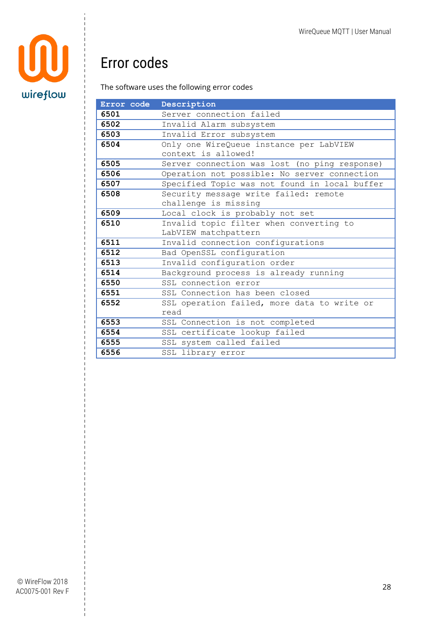

# <span id="page-28-0"></span>Error codes

#### The software uses the following error codes

| Error code | Description                                   |
|------------|-----------------------------------------------|
| 6501       | Server connection failed                      |
| 6502       | Invalid Alarm subsystem                       |
| 6503       | Invalid Error subsystem                       |
| 6504       | Only one WireQueue instance per LabVIEW       |
|            | context is allowed!                           |
| 6505       | Server connection was lost (no ping response) |
| 6506       | Operation not possible: No server connection  |
| 6507       | Specified Topic was not found in local buffer |
| 6508       | Security message write failed: remote         |
|            | challenge is missing                          |
| 6509       | Local clock is probably not set               |
| 6510       | Invalid topic filter when converting to       |
|            | LabVIEW matchpattern                          |
| 6511       | Invalid connection configurations             |
| 6512       | Bad OpenSSL configuration                     |
| 6513       | Invalid configuration order                   |
| 6514       | Background process is already running         |
| 6550       | SSL connection error                          |
| 6551       | SSL Connection has been closed                |
| 6552       | SSL operation failed, more data to write or   |
|            | read                                          |
| 6553       | SSL Connection is not completed               |
| 6554       | SSL certificate lookup failed                 |
| 6555       | SSL system called failed                      |
| 6556       | SSL library error                             |

© WireFlow 2018 AC0075-001 Rev F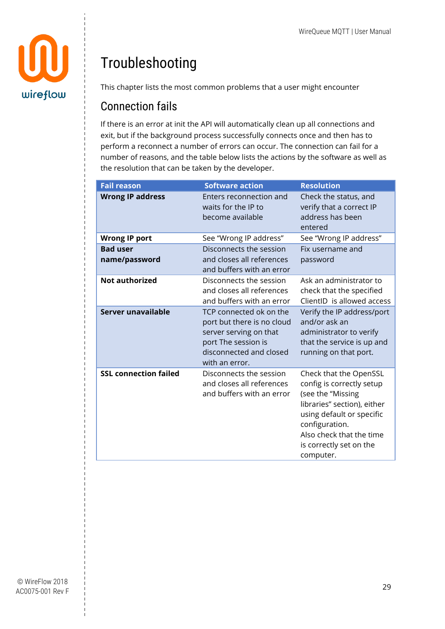

# <span id="page-29-0"></span>Troubleshooting

This chapter lists the most common problems that a user might encounter

### <span id="page-29-1"></span>Connection fails

If there is an error at init the API will automatically clean up all connections and exit, but if the background process successfully connects once and then has to perform a reconnect a number of errors can occur. The connection can fail for a number of reasons, and the table below lists the actions by the software as well as the resolution that can be taken by the developer.

| <b>Fail reason</b>               | <b>Software action</b>                                                                                                                              | <b>Resolution</b>                                                                                                                                                                                                          |
|----------------------------------|-----------------------------------------------------------------------------------------------------------------------------------------------------|----------------------------------------------------------------------------------------------------------------------------------------------------------------------------------------------------------------------------|
| <b>Wrong IP address</b>          | Enters reconnection and<br>waits for the IP to<br>become available                                                                                  | Check the status, and<br>verify that a correct IP<br>address has been<br>entered                                                                                                                                           |
| <b>Wrong IP port</b>             | See "Wrong IP address"                                                                                                                              | See "Wrong IP address"                                                                                                                                                                                                     |
| <b>Bad user</b><br>name/password | Disconnects the session<br>and closes all references<br>and buffers with an error                                                                   | Fix username and<br>password                                                                                                                                                                                               |
| <b>Not authorized</b>            | Disconnects the session<br>and closes all references<br>and buffers with an error                                                                   | Ask an administrator to<br>check that the specified<br>ClientID is allowed access                                                                                                                                          |
| Server unavailable               | TCP connected ok on the<br>port but there is no cloud<br>server serving on that<br>port The session is<br>disconnected and closed<br>with an error. | Verify the IP address/port<br>and/or ask an<br>administrator to verify<br>that the service is up and<br>running on that port.                                                                                              |
| <b>SSL connection failed</b>     | Disconnects the session<br>and closes all references<br>and buffers with an error                                                                   | Check that the OpenSSL<br>config is correctly setup<br>(see the "Missing<br>libraries" section), either<br>using default or specific<br>configuration.<br>Also check that the time<br>is correctly set on the<br>computer. |